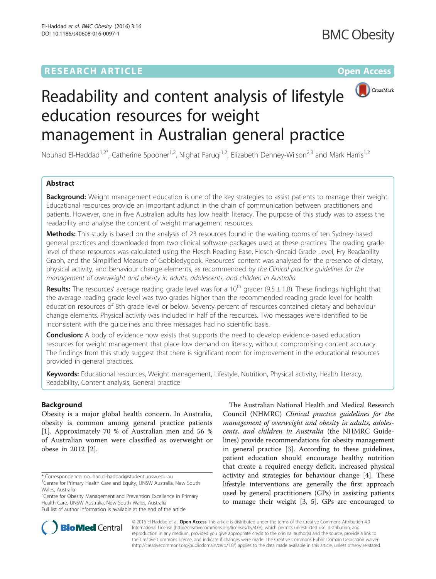# **RESEARCH ARTICLE Example 2018 12:00 Department of the Contract Open Access**



# Readability and content analysis of lifestyle education resources for weight management in Australian general practice

Nouhad El-Haddad<sup>1,2\*</sup>, Catherine Spooner<sup>1,2</sup>, Nighat Faruqi<sup>1,2</sup>, Elizabeth Denney-Wilson<sup>2,3</sup> and Mark Harris<sup>1,2</sup>

# Abstract

**Background:** Weight management education is one of the key strategies to assist patients to manage their weight. Educational resources provide an important adjunct in the chain of communication between practitioners and patients. However, one in five Australian adults has low health literacy. The purpose of this study was to assess the readability and analyse the content of weight management resources.

Methods: This study is based on the analysis of 23 resources found in the waiting rooms of ten Sydney-based general practices and downloaded from two clinical software packages used at these practices. The reading grade level of these resources was calculated using the Flesch Reading Ease, Flesch-Kincaid Grade Level, Fry Readability Graph, and the Simplified Measure of Gobbledygook. Resources' content was analysed for the presence of dietary, physical activity, and behaviour change elements, as recommended by the Clinical practice guidelines for the management of overweight and obesity in adults, adolescents, and children in Australia.

**Results:** The resources' average reading grade level was for a 10<sup>th</sup> grader (9.5  $\pm$  1.8). These findings highlight that the average reading grade level was two grades higher than the recommended reading grade level for health education resources of 8th grade level or below. Seventy percent of resources contained dietary and behaviour change elements. Physical activity was included in half of the resources. Two messages were identified to be inconsistent with the guidelines and three messages had no scientific basis.

**Conclusion:** A body of evidence now exists that supports the need to develop evidence-based education resources for weight management that place low demand on literacy, without compromising content accuracy. The findings from this study suggest that there is significant room for improvement in the educational resources provided in general practices.

Keywords: Educational resources, Weight management, Lifestyle, Nutrition, Physical activity, Health literacy, Readability, Content analysis, General practice

# Background

Obesity is a major global health concern. In Australia, obesity is common among general practice patients [[1\]](#page-7-0). Approximately 70 % of Australian men and 56 % of Australian women were classified as overweight or obese in 2012 [[2](#page-7-0)].

\* Correspondence: [nouhad.el-haddad@student.unsw.edu.au](mailto:nouhad.el-haddad@student.unsw.edu.au) <sup>1</sup>

<sup>2</sup> Centre for Obesity Management and Prevention Excellence in Primary Health Care, UNSW Australia, New South Wales, Australia Full list of author information is available at the end of the article

The Australian National Health and Medical Research Council (NHMRC) Clinical practice guidelines for the management of overweight and obesity in adults, adolescents, and children in Australia (the NHMRC Guidelines) provide recommendations for obesity management in general practice [[3\]](#page-7-0). According to these guidelines, patient education should encourage healthy nutrition that create a required energy deficit, increased physical activity and strategies for behaviour change [\[4](#page-7-0)]. These lifestyle interventions are generally the first approach used by general practitioners (GPs) in assisting patients to manage their weight [[3, 5\]](#page-7-0). GPs are encouraged to



© 2016 El-Haddad et al. Open Access This article is distributed under the terms of the Creative Commons Attribution 4.0 International License [\(http://creativecommons.org/licenses/by/4.0/](http://creativecommons.org/licenses/by/4.0/)), which permits unrestricted use, distribution, and reproduction in any medium, provided you give appropriate credit to the original author(s) and the source, provide a link to the Creative Commons license, and indicate if changes were made. The Creative Commons Public Domain Dedication waiver [\(http://creativecommons.org/publicdomain/zero/1.0/](http://creativecommons.org/publicdomain/zero/1.0/)) applies to the data made available in this article, unless otherwise stated.

<sup>&</sup>lt;sup>1</sup> Centre for Primary Health Care and Equity, UNSW Australia, New South Wales, Australia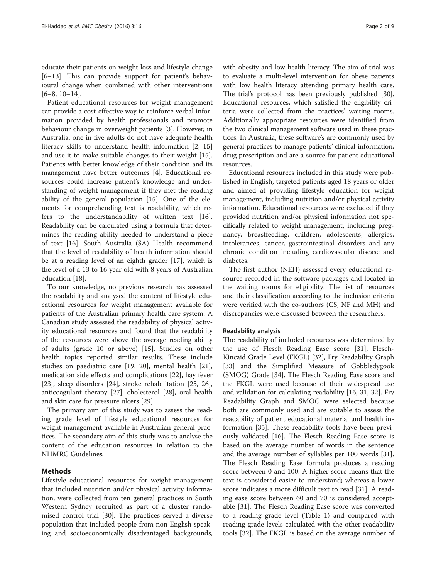educate their patients on weight loss and lifestyle change [[6](#page-7-0)–[13\]](#page-7-0). This can provide support for patient's behavioural change when combined with other interventions [[6](#page-7-0)–[8, 10](#page-7-0)–[14](#page-7-0)].

Patient educational resources for weight management can provide a cost-effective way to reinforce verbal information provided by health professionals and promote behaviour change in overweight patients [\[3](#page-7-0)]. However, in Australia, one in five adults do not have adequate health literacy skills to understand health information [[2, 15](#page-7-0)] and use it to make suitable changes to their weight [\[15](#page-7-0)]. Patients with better knowledge of their condition and its management have better outcomes [[4\]](#page-7-0). Educational resources could increase patient's knowledge and understanding of weight management if they met the reading ability of the general population [[15\]](#page-7-0). One of the elements for comprehending text is readability, which refers to the understandability of written text [\[16](#page-7-0)]. Readability can be calculated using a formula that determines the reading ability needed to understand a piece of text [[16\]](#page-7-0). South Australia (SA) Health recommend that the level of readability of health information should be at a reading level of an eighth grader [\[17](#page-7-0)], which is the level of a 13 to 16 year old with 8 years of Australian education [[18\]](#page-7-0).

To our knowledge, no previous research has assessed the readability and analysed the content of lifestyle educational resources for weight management available for patients of the Australian primary health care system. A Canadian study assessed the readability of physical activity educational resources and found that the readability of the resources were above the average reading ability of adults (grade 10 or above) [[15\]](#page-7-0). Studies on other health topics reported similar results. These include studies on paediatric care [[19](#page-7-0), [20](#page-7-0)], mental health [\[21](#page-7-0)], medication side effects and complications [\[22\]](#page-7-0), hay fever [[23\]](#page-7-0), sleep disorders [[24\]](#page-7-0), stroke rehabilitation [\[25, 26](#page-7-0)], anticoagulant therapy [\[27](#page-7-0)], cholesterol [[28\]](#page-7-0), oral health and skin care for pressure ulcers [\[29\]](#page-7-0).

The primary aim of this study was to assess the reading grade level of lifestyle educational resources for weight management available in Australian general practices. The secondary aim of this study was to analyse the content of the education resources in relation to the NHMRC Guidelines.

# Methods

Lifestyle educational resources for weight management that included nutrition and/or physical activity information, were collected from ten general practices in South Western Sydney recruited as part of a cluster randomised control trial [[30](#page-7-0)]. The practices served a diverse population that included people from non-English speaking and socioeconomically disadvantaged backgrounds, with obesity and low health literacy. The aim of trial was to evaluate a multi-level intervention for obese patients with low health literacy attending primary health care. The trial's protocol has been previously published [[30](#page-7-0)]. Educational resources, which satisfied the eligibility criteria were collected from the practices' waiting rooms. Additionally appropriate resources were identified from the two clinical management software used in these practices. In Australia, these software's are commonly used by general practices to manage patients' clinical information, drug prescription and are a source for patient educational resources.

Educational resources included in this study were published in English, targeted patients aged 18 years or older and aimed at providing lifestyle education for weight management, including nutrition and/or physical activity information. Educational resources were excluded if they provided nutrition and/or physical information not specifically related to weight management, including pregnancy, breastfeeding, children, adolescents, allergies, intolerances, cancer, gastrointestinal disorders and any chronic condition including cardiovascular disease and diabetes.

The first author (NEH) assessed every educational resource recorded in the software packages and located in the waiting rooms for eligibility. The list of resources and their classification according to the inclusion criteria were verified with the co-authors (CS, NF and MH) and discrepancies were discussed between the researchers.

### Readability analysis

The readability of included resources was determined by the use of Flesch Reading Ease score [[31](#page-7-0)], Flesch-Kincaid Grade Level (FKGL) [[32](#page-7-0)], Fry Readability Graph [[33\]](#page-7-0) and the Simplified Measure of Gobbledygook (SMOG) Grade [[34\]](#page-7-0). The Flesch Reading Ease score and the FKGL were used because of their widespread use and validation for calculating readability [[16, 31, 32\]](#page-7-0). Fry Readability Graph and SMOG were selected because both are commonly used and are suitable to assess the readability of patient educational material and health information [\[35](#page-7-0)]. These readability tools have been previously validated [[16\]](#page-7-0). The Flesch Reading Ease score is based on the average number of words in the sentence and the average number of syllables per 100 words [\[31](#page-7-0)]. The Flesch Reading Ease formula produces a reading score between 0 and 100. A higher score means that the text is considered easier to understand; whereas a lower score indicates a more difficult text to read [[31\]](#page-7-0). A reading ease score between 60 and 70 is considered acceptable [\[31\]](#page-7-0). The Flesch Reading Ease score was converted to a reading grade level (Table [1\)](#page-2-0) and compared with reading grade levels calculated with the other readability tools [[32\]](#page-7-0). The FKGL is based on the average number of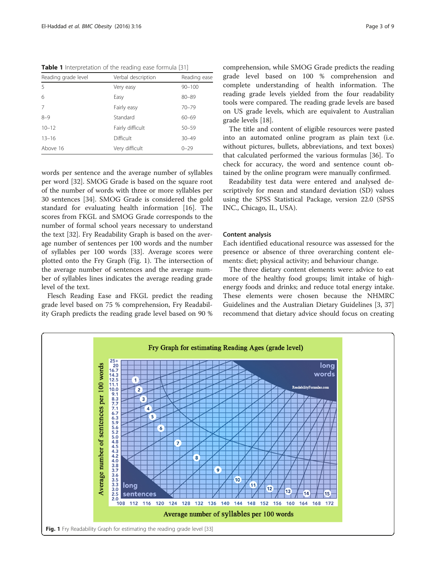<span id="page-2-0"></span>Table 1 Interpretation of the reading ease formula [\[31](#page-7-0)]

| Reading grade level | Verbal description | Reading ease |  |  |
|---------------------|--------------------|--------------|--|--|
| .5                  | Very easy          | $90 - 100$   |  |  |
| 6                   | Easy               | $80 - 89$    |  |  |
| 7                   | Fairly easy        | $70 - 79$    |  |  |
| $8 - 9$             | Standard           | $60 - 69$    |  |  |
| $10 - 12$           | Fairly difficult   | $50 - 59$    |  |  |
| $13 - 16$           | Difficult          | $30 - 49$    |  |  |
| Above 16            | Very difficult     | $0 - 29$     |  |  |

words per sentence and the average number of syllables per word [\[32\]](#page-7-0). SMOG Grade is based on the square root of the number of words with three or more syllables per 30 sentences [[34\]](#page-7-0). SMOG Grade is considered the gold standard for evaluating health information [\[16\]](#page-7-0). The scores from FKGL and SMOG Grade corresponds to the number of formal school years necessary to understand the text [\[32](#page-7-0)]. Fry Readability Graph is based on the average number of sentences per 100 words and the number of syllables per 100 words [[33\]](#page-7-0). Average scores were plotted onto the Fry Graph (Fig. 1). The intersection of the average number of sentences and the average number of syllables lines indicates the average reading grade level of the text.

Flesch Reading Ease and FKGL predict the reading grade level based on 75 % comprehension, Fry Readability Graph predicts the reading grade level based on 90 %

comprehension, while SMOG Grade predicts the reading grade level based on 100 % comprehension and complete understanding of health information. The reading grade levels yielded from the four readability tools were compared. The reading grade levels are based on US grade levels, which are equivalent to Australian grade levels [\[18](#page-7-0)].

The title and content of eligible resources were pasted into an automated online program as plain text (i.e. without pictures, bullets, abbreviations, and text boxes) that calculated performed the various formulas [\[36\]](#page-7-0). To check for accuracy, the word and sentence count obtained by the online program were manually confirmed.

Readability test data were entered and analysed descriptively for mean and standard deviation (SD) values using the SPSS Statistical Package, version 22.0 (SPSS INC., Chicago, IL, USA).

### Content analysis

Each identified educational resource was assessed for the presence or absence of three overarching content elements: diet; physical activity; and behaviour change.

The three dietary content elements were: advice to eat more of the healthy food groups; limit intake of highenergy foods and drinks; and reduce total energy intake. These elements were chosen because the NHMRC Guidelines and the Australian Dietary Guidelines [\[3](#page-7-0), [37](#page-7-0)] recommend that dietary advice should focus on creating

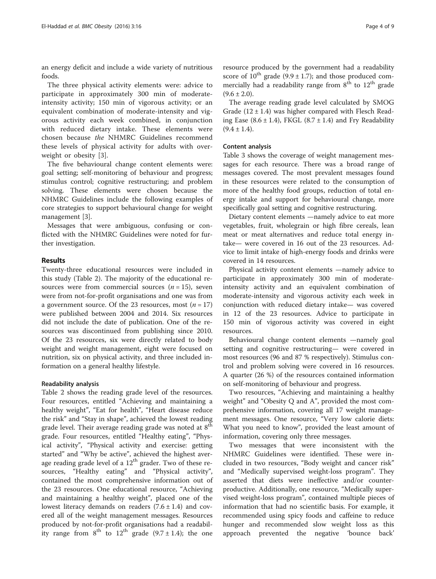an energy deficit and include a wide variety of nutritious foods.

The three physical activity elements were: advice to participate in approximately 300 min of moderateintensity activity; 150 min of vigorous activity; or an equivalent combination of moderate-intensity and vigorous activity each week combined, in conjunction with reduced dietary intake. These elements were chosen because the NHMRC Guidelines recommend these levels of physical activity for adults with overweight or obesity [\[3](#page-7-0)].

The five behavioural change content elements were: goal setting; self-monitoring of behaviour and progress; stimulus control; cognitive restructuring; and problem solving. These elements were chosen because the NHMRC Guidelines include the following examples of core strategies to support behavioural change for weight management [\[3](#page-7-0)].

Messages that were ambiguous, confusing or conflicted with the NHMRC Guidelines were noted for further investigation.

# Results

Twenty-three educational resources were included in this study (Table [2](#page-4-0)). The majority of the educational resources were from commercial sources  $(n = 15)$ , seven were from not-for-profit organisations and one was from a government source. Of the 23 resources, most  $(n = 17)$ were published between 2004 and 2014. Six resources did not include the date of publication. One of the resources was discontinued from publishing since 2010. Of the 23 resources, six were directly related to body weight and weight management, eight were focused on nutrition, six on physical activity, and three included information on a general healthy lifestyle.

## Readability analysis

Table [2](#page-4-0) shows the reading grade level of the resources. Four resources, entitled "Achieving and maintaining a healthy weight", "Eat for health", "Heart disease reduce the risk" and "Stay in shape", achieved the lowest reading grade level. Their average reading grade was noted at 8<sup>th</sup> grade. Four resources, entitled "Healthy eating", "Physical activity", "Physical activity and exercise: getting started" and "Why be active", achieved the highest average reading grade level of a  $12<sup>th</sup>$  grader. Two of these resources, "Healthy eating" and "Physical activity", contained the most comprehensive information out of the 23 resources. One educational resource, "Achieving and maintaining a healthy weight", placed one of the lowest literacy demands on readers  $(7.6 \pm 1.4)$  and covered all of the weight management messages. Resources produced by not-for-profit organisations had a readability range from  $8^{th}$  to  $12^{th}$  grade  $(9.7 \pm 1.4)$ ; the one

resource produced by the government had a readability score of  $10^{th}$  grade (9.9  $\pm$  1.7); and those produced commercially had a readability range from  $8<sup>th</sup>$  to  $12<sup>th</sup>$  grade  $(9.6 \pm 2.0)$ .

The average reading grade level calculated by SMOG Grade  $(12 \pm 1.4)$  was higher compared with Flesch Reading Ease (8.6  $\pm$  1.4), FKGL (8.7  $\pm$  1.4) and Fry Readability  $(9.4 \pm 1.4)$ .

# Content analysis

Table [3](#page-5-0) shows the coverage of weight management messages for each resource. There was a broad range of messages covered. The most prevalent messages found in these resources were related to the consumption of more of the healthy food groups, reduction of total energy intake and support for behavioural change, more specifically goal setting and cognitive restructuring.

Dietary content elements —namely advice to eat more vegetables, fruit, wholegrain or high fibre cereals, lean meat or meat alternatives and reduce total energy intake— were covered in 16 out of the 23 resources. Advice to limit intake of high-energy foods and drinks were covered in 14 resources.

Physical activity content elements —namely advice to participate in approximately 300 min of moderateintensity activity and an equivalent combination of moderate-intensity and vigorous activity each week in conjunction with reduced dietary intake— was covered in 12 of the 23 resources. Advice to participate in 150 min of vigorous activity was covered in eight resources.

Behavioural change content elements —namely goal setting and cognitive restructuring— were covered in most resources (96 and 87 % respectively). Stimulus control and problem solving were covered in 16 resources. A quarter (26 %) of the resources contained information on self-monitoring of behaviour and progress.

Two resources, "Achieving and maintaining a healthy weight" and "Obesity Q and A", provided the most comprehensive information, covering all 17 weight management messages. One resource, "Very low calorie diets: What you need to know", provided the least amount of information, covering only three messages.

Two messages that were inconsistent with the NHMRC Guidelines were identified. These were included in two resources, "Body weight and cancer risk" and "Medically supervised weight-loss program". They asserted that diets were ineffective and/or counterproductive. Additionally, one resource, "Medically supervised weight-loss program", contained multiple pieces of information that had no scientific basis. For example, it recommended using spicy foods and caffeine to reduce hunger and recommended slow weight loss as this approach prevented the negative 'bounce back'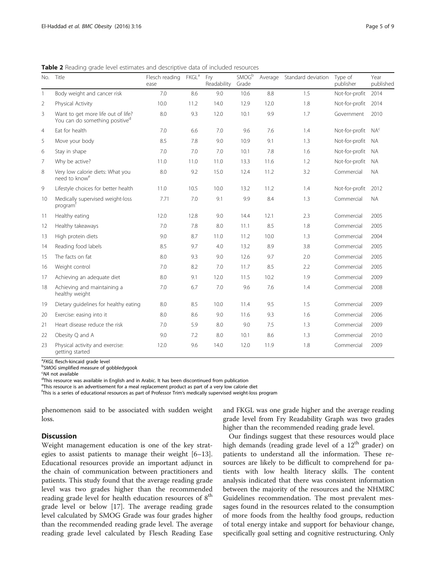<span id="page-4-0"></span>Table 2 Reading grade level estimates and descriptive data of included resources

| No.            | Title                                                                            | Flesch reading<br>ease | <b>FKGL</b> <sup>a</sup>         | Fry<br>Readability | <b>SMOG</b> <sup>b</sup><br>Grade | Average        | Standard deviation | Type of<br>publisher           | Year<br>published |  |
|----------------|----------------------------------------------------------------------------------|------------------------|----------------------------------|--------------------|-----------------------------------|----------------|--------------------|--------------------------------|-------------------|--|
| 1              | Body weight and cancer risk                                                      | 7.0                    | 8.6                              | 9.0                | 10.6                              | 8.8            | 1.5                | Not-for-profit                 | 2014              |  |
| $\overline{2}$ | Physical Activity                                                                | 10.0                   | 11.2                             |                    | 12.9                              | 12.0           | 1.8                | Not-for-profit                 | 2014              |  |
| 3              | Want to get more life out of life?<br>You can do something positive <sup>d</sup> | 8.0                    | 9.3                              | 12.0               | 10.1                              | 9.9            | 1.7                | Government                     | 2010              |  |
| 4              | Eat for health                                                                   | 7.0                    | 6.6                              | 7.0                | 9.6                               | 7.6            | 1.4                | Not-for-profit NA <sup>c</sup> |                   |  |
| 5              | Move your body                                                                   | 8.5                    | 7.8<br>9.0<br>9.1<br>10.9        |                    | 1.3                               | Not-for-profit | <b>NA</b>          |                                |                   |  |
| 6              | Stay in shape                                                                    | 7.0                    | 7.0<br>7.8<br>7.0<br>10.1<br>1.6 |                    |                                   |                | Not-for-profit     | <b>NA</b>                      |                   |  |
| 7              | Why be active?                                                                   | 11.0                   | 11.0                             | 11.0               | 13.3                              | 11.6           | 1.2                | Not-for-profit                 | <b>NA</b>         |  |
| 8              | Very low calorie diets: What you<br>need to know <sup>e</sup>                    | 8.0                    | 9.2                              | 15.0               | 12.4                              | 11.2           | 3.2                | Commercial                     | <b>NA</b>         |  |
| 9              | Lifestyle choices for better health                                              | 11.0                   | 10.5                             | 10.0               | 13.2<br>11.2                      |                | 1.4                | Not-for-profit                 | 2012              |  |
| 10             | Medically supervised weight-loss<br>program                                      | 7.71                   | 7.0                              | 9.1                | 9.9                               | 8.4            | 1.3                | Commercial                     | <b>NA</b>         |  |
| 11             | Healthy eating                                                                   | 12.0                   | 12.8                             | 9.0                | 14.4                              | 12.1           | 2.3                | Commercial                     | 2005              |  |
| 12             | Healthy takeaways                                                                | 7.0                    | 7.8                              | 8.0                | 11.1                              | 8.5            | 1.8                | Commercial                     | 2005              |  |
| 13             | High protein diets                                                               | 9.0                    | 8.7                              | 11.0               | 11.2                              | 10.0           | 1.3                | Commercial                     | 2004              |  |
| 14             | Reading food labels                                                              | 8.5                    | 9.7                              | 4.0                | 13.2                              | 8.9            | 3.8                | Commercial                     | 2005              |  |
| 15             | The facts on fat                                                                 | 8.0                    | 9.3                              | 9.0                | 12.6                              | 9.7            | 2.0                | Commercial                     | 2005              |  |
| 16             | Weight control                                                                   | 7.0                    | 8.2                              | 7.0                | 11.7                              | 8.5            | 2.2                | Commercial                     | 2005              |  |
| 17             | Achieving an adequate diet                                                       | 8.0                    | 9.1                              | 12.0               | 11.5                              | 10.2           | 1.9                | Commercial                     | 2009              |  |
| 18             | Achieving and maintaining a<br>healthy weight                                    | 7.0                    | 6.7                              | 7.0                | 9.6                               | 7.6            | 1.4                | Commercial                     | 2008              |  |
| 19             | Dietary guidelines for healthy eating                                            | 8.0                    | 8.5                              | 10.0               | 11.4                              | 9.5            | 1.5                | Commercial                     | 2009              |  |
| 20             | Exercise: easing into it                                                         | 8.0                    | 8.6                              | 9.0                | 11.6                              | 9.3            | 1.6                | Commercial                     | 2006              |  |
| 21             | Heart disease reduce the risk                                                    | 7.0                    | 5.9                              | 8.0                | 9.0                               | 7.5            | 1.3                | Commercial                     | 2009              |  |
| 22             | Obesity Q and A                                                                  | 9.0                    | 7.2                              | 8.0                | 10.1                              | 8.6            | 1.3                | Commercial                     | 2010              |  |
| 23             | Physical activity and exercise:<br>getting started                               | 12.0                   | 9.6                              | 14.0               | 12.0                              | 11.9           | 1.8                | Commercial                     | 2009              |  |

<sup>a</sup>FKGL flesch-kincaid grade level<br><sup>b</sup>SMOG simplified measure of gr

<sup>b</sup>SMOG simplified measure of gobbledygook

 $^{\circ}$ NA not available

<sup>d</sup>This resource was available in English and in Arabic. It has been discontinued from publication

e This resource is an advertisement for a meal replacement product as part of a very low calorie diet

f This is a series of educational resources as part of Professor Trim's medically supervised weight-loss program

phenomenon said to be associated with sudden weight loss.

and FKGL was one grade higher and the average reading grade level from Fry Readability Graph was two grades higher than the recommended reading grade level.

# **Discussion**

Weight management education is one of the key strategies to assist patients to manage their weight [[6](#page-7-0)–[13](#page-7-0)]. Educational resources provide an important adjunct in the chain of communication between practitioners and patients. This study found that the average reading grade level was two grades higher than the recommended reading grade level for health education resources of 8<sup>th</sup> grade level or below [[17\]](#page-7-0). The average reading grade level calculated by SMOG Grade was four grades higher than the recommended reading grade level. The average reading grade level calculated by Flesch Reading Ease

Our findings suggest that these resources would place high demands (reading grade level of a  $12<sup>th</sup>$  grader) on patients to understand all the information. These resources are likely to be difficult to comprehend for patients with low health literacy skills. The content analysis indicated that there was consistent information between the majority of the resources and the NHMRC Guidelines recommendation. The most prevalent messages found in the resources related to the consumption of more foods from the healthy food groups, reduction of total energy intake and support for behaviour change, specifically goal setting and cognitive restructuring. Only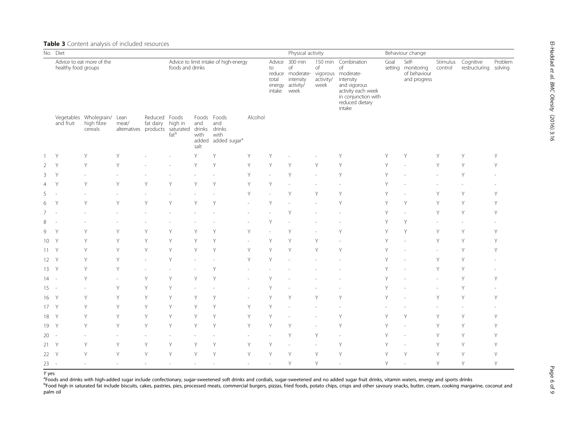# <span id="page-5-0"></span>Table 3 Content analysis of included resources

|        | No. Diet                                         |                                                 |                                                         |                            |                             |                                                                    |                                                                  |         |                | Physical activity                                                                                       |                         |                                                                                                                                  | Behaviour change |                                                             |                     |                                    |         |  |
|--------|--------------------------------------------------|-------------------------------------------------|---------------------------------------------------------|----------------------------|-----------------------------|--------------------------------------------------------------------|------------------------------------------------------------------|---------|----------------|---------------------------------------------------------------------------------------------------------|-------------------------|----------------------------------------------------------------------------------------------------------------------------------|------------------|-------------------------------------------------------------|---------------------|------------------------------------|---------|--|
|        | Advice to eat more of the<br>healthy food groups |                                                 |                                                         |                            |                             | Advice to limit intake of high-energy<br>foods and drinks<br>total |                                                                  |         |                | Advice 300 min<br>of<br>reduce moderate- vigorous moderate-<br>intensity<br>activity/<br>energy<br>week | of<br>activity/<br>week | 150 min Combination<br>of<br>intensity<br>and vigorous<br>activity each week<br>in conjunction with<br>reduced dietary<br>intake | Goal             | Self-<br>setting monitoring<br>of behaviour<br>and progress | Stimulus<br>control | Cognitive<br>restructuring solving | Problem |  |
|        | and fruit                                        | Vegetables Wholegrain/<br>high fibre<br>cereals | Lean<br>meat/<br>alternatives products saturated drinks | Reduced Foods<br>fat dairy | high in<br>fat <sup>b</sup> | and<br>with<br>added<br>salt                                       | Foods Foods<br>and<br>drinks<br>with<br>added sugar <sup>a</sup> | Alcohol |                |                                                                                                         |                         |                                                                                                                                  |                  |                                                             |                     |                                    |         |  |
|        | Y                                                | Υ                                               | Υ                                                       |                            |                             | Y                                                                  | Y                                                                | Y       | Y              |                                                                                                         |                         | Y                                                                                                                                | Υ                | Y                                                           | Y                   | Y                                  | Y       |  |
|        |                                                  | Y                                               | Y                                                       |                            |                             | Y                                                                  | Y                                                                | Y       | Y              | Y                                                                                                       | Y                       | Y                                                                                                                                | Υ                | $\overline{a}$                                              | Y                   | Y                                  | Y       |  |
| 3      | Y                                                |                                                 |                                                         |                            |                             |                                                                    |                                                                  | Y       | $\sim$         | Y                                                                                                       | ÷,                      | Y                                                                                                                                | Y                | ÷,                                                          |                     | Y                                  | ٠       |  |
| 4      | Y                                                | Y                                               | Y                                                       | Y                          | Y                           | Y                                                                  | Y                                                                | Y       | Y              | ÷                                                                                                       |                         |                                                                                                                                  | Υ                | ٠                                                           |                     |                                    |         |  |
|        |                                                  |                                                 |                                                         |                            |                             |                                                                    |                                                                  | Y       |                | Y                                                                                                       | Y                       | Y                                                                                                                                | Y                | L,                                                          | Y                   | Y                                  | Y       |  |
| 6      |                                                  | Y                                               | Y                                                       | Y                          | Y                           | Y                                                                  | Y                                                                |         | Y              |                                                                                                         |                         | Y                                                                                                                                | Y                | Y                                                           | Y                   | Y                                  | Y       |  |
|        |                                                  |                                                 |                                                         |                            |                             |                                                                    |                                                                  |         |                | Υ                                                                                                       |                         |                                                                                                                                  | Υ                | ÷,                                                          | Y                   | Y                                  | Y       |  |
| 8      |                                                  |                                                 |                                                         |                            |                             |                                                                    |                                                                  |         | Y              |                                                                                                         |                         |                                                                                                                                  | Y                | Y                                                           |                     |                                    |         |  |
| 9      | Y                                                | Y                                               | Y                                                       | Y                          | Y                           | Y                                                                  | Y                                                                | Y       | $\overline{a}$ | Y                                                                                                       |                         | Y                                                                                                                                | Y                | Y                                                           | Y                   | Y                                  | Y       |  |
| 10     | Y                                                | Y                                               | Y                                                       | Y                          | Y                           | Y                                                                  | Y                                                                | $\sim$  | Y              | Y                                                                                                       | Y                       | L,                                                                                                                               | Y                | ÷,                                                          | Y                   | Y                                  | Y       |  |
| 11     | Y                                                | Y                                               | Y                                                       | Y                          | Y                           | Y                                                                  | Y                                                                | Y       | Y              | Y                                                                                                       | Y                       | Y                                                                                                                                |                  | ٠                                                           |                     | Y                                  | Y       |  |
| 12     | Y                                                | Y                                               | Y                                                       | $\sim$                     | Y                           | $\sim$                                                             |                                                                  | Y       | Y              |                                                                                                         |                         |                                                                                                                                  | Υ                | ٠                                                           | Y                   | Y                                  |         |  |
| 13     | Y                                                | Y                                               | Y                                                       | $\sim$                     | $\overline{a}$              | $\sim$                                                             | Y                                                                |         |                |                                                                                                         |                         |                                                                                                                                  | Y                | ٠                                                           | Y                   | Y                                  |         |  |
| $14 -$ |                                                  | Y                                               |                                                         | Y                          | Y                           | Y                                                                  | Y                                                                |         | Y              |                                                                                                         |                         |                                                                                                                                  | Y                |                                                             |                     | Y                                  | Y       |  |
| 15     | $\sim$                                           |                                                 | Y                                                       | Y                          | Y                           | $\sim$                                                             |                                                                  |         |                |                                                                                                         |                         |                                                                                                                                  | Υ                |                                                             |                     | Y                                  |         |  |
| 16     | Y                                                | Y                                               | Y                                                       | Y                          | Y                           | Y                                                                  | Y                                                                | $\sim$  | Y              | Y                                                                                                       | Υ                       | Y                                                                                                                                | Υ                | ÷,                                                          | Y                   | Y                                  | Y       |  |
| 17     | Y                                                | Y                                               | Y                                                       | Y                          | Y                           | Y                                                                  | Y                                                                | Y       | Y              |                                                                                                         |                         | L,                                                                                                                               |                  | ٠                                                           |                     |                                    | ÷       |  |
| 18     | Y                                                | Y                                               | Y                                                       | Y                          | Y                           | Y                                                                  | Y                                                                | Y       | Y              |                                                                                                         |                         | Y                                                                                                                                | Y                | Y                                                           | Y                   | Y                                  | Y       |  |
| 19     | Y                                                | Y                                               | Y                                                       | Y                          | Y                           | Y                                                                  | Y                                                                | Y       | Y              | Y                                                                                                       |                         | Y                                                                                                                                | Y                | ÷,                                                          | Y                   | Y                                  | Y       |  |
| 20     | $\sim$                                           |                                                 |                                                         |                            |                             |                                                                    |                                                                  |         |                | Y                                                                                                       | Y                       | L,                                                                                                                               | Y                | ÷,                                                          | Y                   | Y                                  | Y       |  |
| 21     | Y                                                | Y                                               | Y                                                       | Y                          | Y                           | Y                                                                  | Y                                                                | Y       | Y              | ÷,                                                                                                      |                         | Y                                                                                                                                | Y                | $\sim$                                                      | Y                   | Y                                  | Y       |  |
| 22 Y   |                                                  | Y                                               | Y                                                       | Y                          | Y                           | Y                                                                  | Y                                                                | Y       | Y              | Y                                                                                                       | Y                       | Y                                                                                                                                | Y                | Y                                                           | Y                   | Y                                  | Y       |  |
| $23 -$ |                                                  |                                                 |                                                         |                            |                             |                                                                    |                                                                  |         |                | Y                                                                                                       | Y                       | L,                                                                                                                               | Y                |                                                             | Y                   | Y                                  | Y       |  |

Y yes<br><sup>a</sup>Foods and drinks with high-added sugar include confectionary, sugar-sweetened soft drinks and cordials, sugar-sweetened and no added sugar fruit drinks, vitamin waters, energy and sports drinks

<sup>a</sup>Foods and drinks with high-added sugar include confectionary, sugar-sweetened soft drinks and cordials, sugar-sweetened and no added sugar fruit drinks, vitamin waters, energy and sports drinks<br><sup>b</sup>Food high in saturated palm oil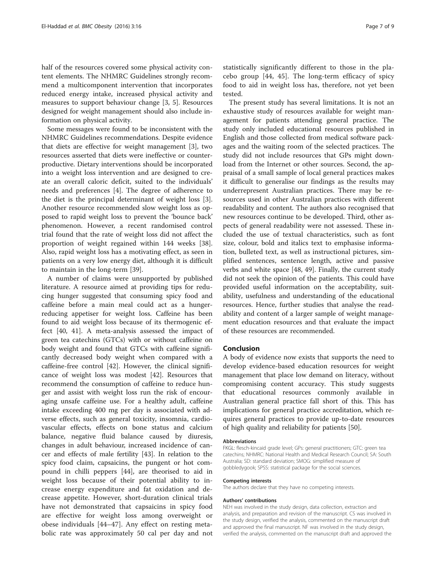half of the resources covered some physical activity content elements. The NHMRC Guidelines strongly recommend a multicomponent intervention that incorporates reduced energy intake, increased physical activity and measures to support behaviour change [[3, 5\]](#page-7-0). Resources designed for weight management should also include information on physical activity.

Some messages were found to be inconsistent with the NHMRC Guidelines recommendations. Despite evidence that diets are effective for weight management [\[3](#page-7-0)], two resources asserted that diets were ineffective or counterproductive. Dietary interventions should be incorporated into a weight loss intervention and are designed to create an overall caloric deficit, suited to the individuals' needs and preferences [[4\]](#page-7-0). The degree of adherence to the diet is the principal determinant of weight loss [\[3](#page-7-0)]. Another resource recommended slow weight loss as opposed to rapid weight loss to prevent the 'bounce back' phenomenon. However, a recent randomised control trial found that the rate of weight loss did not affect the proportion of weight regained within 144 weeks [\[38](#page-7-0)]. Also, rapid weight loss has a motivating effect, as seen in patients on a very low energy diet, although it is difficult to maintain in the long-term [[39](#page-7-0)].

A number of claims were unsupported by published literature. A resource aimed at providing tips for reducing hunger suggested that consuming spicy food and caffeine before a main meal could act as a hungerreducing appetiser for weight loss. Caffeine has been found to aid weight loss because of its thermogenic effect [\[40](#page-8-0), [41\]](#page-8-0). A meta-analysis assessed the impact of green tea catechins (GTCs) with or without caffeine on body weight and found that GTCs with caffeine significantly decreased body weight when compared with a caffeine-free control [[42\]](#page-8-0). However, the clinical significance of weight loss was modest [\[42](#page-8-0)]. Resources that recommend the consumption of caffeine to reduce hunger and assist with weight loss run the risk of encouraging unsafe caffeine use. For a healthy adult, caffeine intake exceeding 400 mg per day is associated with adverse effects, such as general toxicity, insomnia, cardiovascular effects, effects on bone status and calcium balance, negative fluid balance caused by diuresis, changes in adult behaviour, increased incidence of cancer and effects of male fertility [[43](#page-8-0)]. In relation to the spicy food claim, capsaicins, the pungent or hot compound in chilli peppers [[44](#page-8-0)], are theorised to aid in weight loss because of their potential ability to increase energy expenditure and fat oxidation and decrease appetite. However, short-duration clinical trials have not demonstrated that capsaicins in spicy food are effective for weight loss among overweight or obese individuals [\[44](#page-8-0)–[47](#page-8-0)]. Any effect on resting metabolic rate was approximately 50 cal per day and not statistically significantly different to those in the placebo group [[44](#page-8-0), [45](#page-8-0)]. The long-term efficacy of spicy food to aid in weight loss has, therefore, not yet been tested.

The present study has several limitations. It is not an exhaustive study of resources available for weight management for patients attending general practice. The study only included educational resources published in English and those collected from medical software packages and the waiting room of the selected practices. The study did not include resources that GPs might download from the Internet or other sources. Second, the appraisal of a small sample of local general practices makes it difficult to generalise our findings as the results may underrepresent Australian practices. There may be resources used in other Australian practices with different readability and content. The authors also recognised that new resources continue to be developed. Third, other aspects of general readability were not assessed. These included the use of textual characteristics, such as font size, colour, bold and italics text to emphasise information, bulleted text, as well as instructional pictures, simplified sentences, sentence length, active and passive verbs and white space [\[48](#page-8-0), [49](#page-8-0)]. Finally, the current study did not seek the opinion of the patients. This could have provided useful information on the acceptability, suitability, usefulness and understanding of the educational resources. Hence, further studies that analyse the readability and content of a larger sample of weight management education resources and that evaluate the impact of these resources are recommended.

# Conclusion

A body of evidence now exists that supports the need to develop evidence-based education resources for weight management that place low demand on literacy, without compromising content accuracy. This study suggests that educational resources commonly available in Australian general practice fall short of this. This has implications for general practice accreditation, which requires general practices to provide up-to-date resources of high quality and reliability for patients [[50\]](#page-8-0).

#### Abbreviations

FKGL: flesch-kincaid grade level; GPs: general practitioners; GTC: green tea catechins; NHMRC: National Health and Medical Research Council; SA: South Australia; SD: standard deviation; SMOG: simplified measure of gobbledygook; SPSS: statistical package for the social sciences.

#### Competing interests

The authors declare that they have no competing interests.

#### Authors' contributions

NEH was involved in the study design, data collection, extraction and analysis, and preparation and revision of the manuscript. CS was involved in the study design, verified the analysis, commented on the manuscript draft and approved the final manuscript. NF was involved in the study design, verified the analysis, commented on the manuscript draft and approved the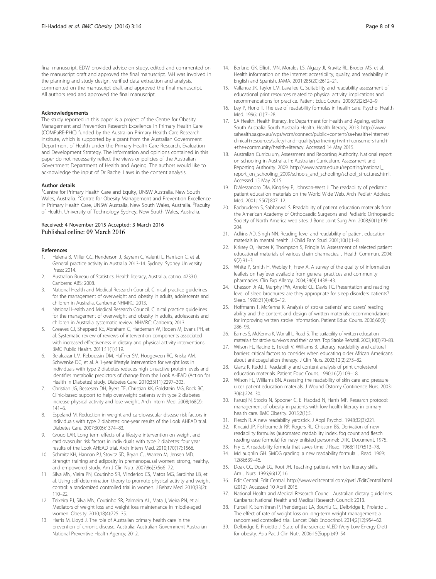<span id="page-7-0"></span>final manuscript. EDW provided advice on study, edited and commented on the manuscript draft and approved the final manuscript. MH was involved in the planning and study design, verified data extraction and analysis, commented on the manuscript draft and approved the final manuscript. All authors read and approved the final manuscript.

#### Acknowledgements

The study reported in this paper is a project of the Centre for Obesity Management and Prevention Research Excellence in Primary Health Care (COMPaRE-PHC) funded by the Australian Primary Health Care Research Institute, which is supported by a grant from the Australian Government Department of Health under the Primary Health Care Research, Evaluation and Development Strategy. The information and opinions contained in this paper do not necessarily reflect the views or policies of the Australian Government Department of Health and Ageing. The authors would like to acknowledge the input of Dr Rachel Laws in the content analysis.

#### Author details

<sup>1</sup> Centre for Primary Health Care and Equity, UNSW Australia, New South Wales, Australia. <sup>2</sup>Centre for Obesity Management and Prevention Excellence in Primary Health Care, UNSW Australia, New South Wales, Australia. <sup>3</sup>Faculty of Health, University of Technology Sydney, New South Wales, Australia.

### Received: 4 November 2015 Accepted: 3 March 2016 Published online: 09 March 2016

#### References

- 1. Helena B, Miller GC, Henderson J, Bayram C, Valenti L, Harrison C, et al. General practice activity in Australia 2013-14. Sydney: Sydney University Press; 2014.
- 2. Australian Bureau of Statistics. Health literacy, Australia, cat.no. 4233.0. Canberra: ABS; 2008.
- 3. National Health and Medical Research Council. Clinical practice guidelines for the management of overweight and obesity in adults, adolescents and children in Australia. Canberra: NHMRC; 2013.
- 4. National Health and Medical Research Council. Clinical practice guidelines for the management of overweight and obesity in adults, adolescents and children in Australia systematic review. NHMRC: Canberra; 2013.
- 5. Greaves CJ, Sheppard KE, Abraham C, Hardeman W, Roden M, Evans PH, et al. Systematic review of reviews of intervention components associated with increased effectiveness in dietary and physical activity interventions. BMC Public Health. 2011;11(1):119.
- 6. Belalcazar LM, Reboussin DM, Haffner SM, Hoogeveen RC, Kriska AM, Schwenke DC, et al. A 1-year lifestyle intervention for weight loss in individuals with type 2 diabetes reduces high c-reactive protein levels and identifies metabolic predictors of change from the Look AHEAD (Action for Health in Diabetes) study. Diabetes Care. 2010;33(11):2297–303.
- 7. Christian JG, Bessesen DH, Byers TE, Christian KK, Goldstein MG, Bock BC. Clinic-based support to help overweight patients with type 2 diabetes increase physical activity and lose weight. Arch Intern Med. 2008;168(2): 141–6.
- 8. Espeland M. Reduction in weight and cardiovascular disease risk factors in individuals with type 2 diabetes: one-year results of the Look AHEAD trial. Diabetes Care. 2007;30(6):1374–83.
- 9. Group LAR. Long term effects of a lifestyle intervention on weight and cardiovascular risk factors in individuals with type 2 diabetes: four year results of the Look AHEAD trial. Arch Intern Med. 2010;170(17):1566.
- 10. Schmitz KH, Hannan PJ, Stovitz SD, Bryan CJ, Warren M, Jensen MD. Strength training and adiposity in premenopausal women: strong, healthy, and empowered study. Am J Clin Nutr. 2007;86(3):566–72.
- 11. Silva MN, Vieira PN, Coutinho SR, Minderico CS, Matos MG, Sardinha LB, et al. Using self-determination theory to promote physical activity and weight control: a randomized controlled trial in women. J Behav Med. 2010;33(2): 110–22.
- 12. Teixeira PJ, Silva MN, Coutinho SR, Palmeira AL, Mata J, Vieira PN, et al. Mediators of weight loss and weight loss maintenance in middle-aged women. Obesity. 2010;18(4):725–35.
- 13. Harris M, Lloyd J. The role of Australian primary health care in the prevention of chronic disease. Australia: Australian Government Australian National Preventive Health Agency; 2012.
- 14. Berland GK, Elliott MN, Morales LS, Algazy JI, Kravitz RL, Broder MS, et al. Health information on the internet: accessibility, quality, and readability in English and Spanish. JAMA. 2001;285(20):2612–21.
- 15. Vallance JK, Taylor LM, Lavallee C. Suitability and readability assessment of educational print resources related to physical activity: implications and recommendations for practice. Patient Educ Couns. 2008;72(2):342–9.
- 16. Ley P, Florio T. The use of readability formulas in health care. Psychol Health Med. 1996;1(1):7–28.
- 17. SA Health. Health literacy. In: Department for Health and Ageing, editor. South Australia: South Australia Health. Health literacy; 2013. [http://www.](http://www.sahealth.sa.gov.au/wps/wcm/connect/public+content/sa+health+internet/clinical+resources/safety+and+quality/partnering+with+consumers+and++the+community/health+literacy) [sahealth.sa.gov.au/wps/wcm/connect/public+content/sa+health+internet/](http://www.sahealth.sa.gov.au/wps/wcm/connect/public+content/sa+health+internet/clinical+resources/safety+and+quality/partnering+with+consumers+and++the+community/health+literacy) [clinical+resources/safety+and+quality/partnering+with+consumers+and+](http://www.sahealth.sa.gov.au/wps/wcm/connect/public+content/sa+health+internet/clinical+resources/safety+and+quality/partnering+with+consumers+and++the+community/health+literacy) [+the+community/health+literacy.](http://www.sahealth.sa.gov.au/wps/wcm/connect/public+content/sa+health+internet/clinical+resources/safety+and+quality/partnering+with+consumers+and++the+community/health+literacy) Accessed 14 May 2015.
- 18. Australian Curriculum, Assessment and Reporting Authority. National report on schooling in Australia. In: Australian Curriculum, Assessment and Reporting Authority. 2009. [http://www.acara.edu.au/reporting/national\\_](http://www.acara.edu.au/reporting/national_report_on_schooling_2009/schools_and_schooling/school_structures.html) [report\\_on\\_schooling\\_2009/schools\\_and\\_schooling/school\\_structures.html](http://www.acara.edu.au/reporting/national_report_on_schooling_2009/schools_and_schooling/school_structures.html). Accessed 15 May 2015.
- 19. D'Alessandro DM, Kingsley P, Johnson-West J. The readability of pediatric patient education materials on the World Wide Web. Arch Pediatr Adolesc Med. 2001;155(7):807–12.
- 20. Badarudeen S, Sabharwal S. Readability of patient education materials from the American Academy of Orthopaedic Surgeons and Pediatric Orthopaedic Society of North America web sites. J Bone Joint Surg Am. 2008;90(1):199– 204.
- 21. Adkins AD, Singh NN. Reading level and readability of patient education materials in mental health. J Child Fam Stud. 2001;10(1):1–8.
- 22. Kirksey O, Harper K, Thompson S, Pringle M. Assessment of selected patient educational materials of various chain pharmacies. J Health Commun. 2004; 9(2):91–3.
- 23. White P, Smith H, Webley F, Frew A. A survey of the quality of information leaflets on hayfever available from general practices and community pharmacies. Clin Exp Allergy. 2004;34(9):1438–43.
- 24. Chesson Jr AL, Murphy PW, Arnold CL, Davis TC. Presentation and reading level of sleep brochures: are they appropriate for sleep disorders patients? Sleep. 1998;21(4):406–12.
- 25. Hoffmann T, McKenna K. Analysis of stroke patients' and carers' reading ability and the content and design of written materials: recommendations for improving written stroke information. Patient Educ Couns. 2006;60(3): 286–93.
- 26. Eames S, McKenna K, Worrall L, Read S. The suitability of written education materials for stroke survivors and their carers. Top Stroke Rehabil. 2003;10(3):70–83.
- 27. Wilson FL, Racine E, Tekieli V, Williams B. Literacy, readability and cultural barriers: critical factors to consider when educating older African Americans about anticoagulation therapy. J Clin Nurs. 2003;12(2):275–82.
- 28. Glanz K, Rudd J. Readability and content analysis of print cholesterol education materials. Patient Educ Couns. 1990;16(2):109–18.
- 29. Wilson FL, Williams BN. Assessing the readability of skin care and pressure ulcer patient education materials. J Wound Ostomy Continence Nurs. 2003; 30(4):224–30.
- 30. Faruqi N, Stocks N, Spooner C, El Haddad N, Harris MF. Research protocol: management of obesity in patients with low health literacy in primary health care. BMC Obesity. 2015;2(1):5.
- 31. Flesch R. A new readability yardstick. J Appl Psychol. 1948;32(3):221.
- 32. Kincaid JP, Fishburne Jr RP, Rogers RL, Chissom BS. Derivation of new readability formulas (automated readability index, fog count and flesch reading ease formula) for navy enlisted personnel: DTIC Document. 1975.
- 33. Fry E. A readability formula that saves time. J Read. 1968;11(7):513–78.
- 34. McLaughlin GH. SMOG grading: a new readability formula. J Read. 1969; 12(8):639–46.
- 35. Doak CC, Doak LG, Root JH. Teaching patients with low literacy skills. Am J Nurs. 1996;96(12):16.
- 36. Edit Central. Edit Central. [http://www.editcentral.com/gwt1/EditCentral.html.](http://www.editcentral.com/gwt1/EditCentral.html) (2012). Accessed 10 April 2015.
- 37. National Health and Medical Research Council. Australian dietary guidelines. Canberra: National Health and Medical Research Council; 2013.
- 38. Purcell K, Sumithran P, Prendergast LA, Bouniu CJ, Delbridge E, Proietto J. The effect of rate of weight loss on long-term weight management: a randomised controlled trial. Lancet Diab Endocrinol. 2014;2(12):954–62.
- 39. Delbridge E, Proietto J. State of the science: VLED (Very Low Energy Diet) for obesity. Asia Pac J Clin Nutr. 2006;15(Suppl):49–54.